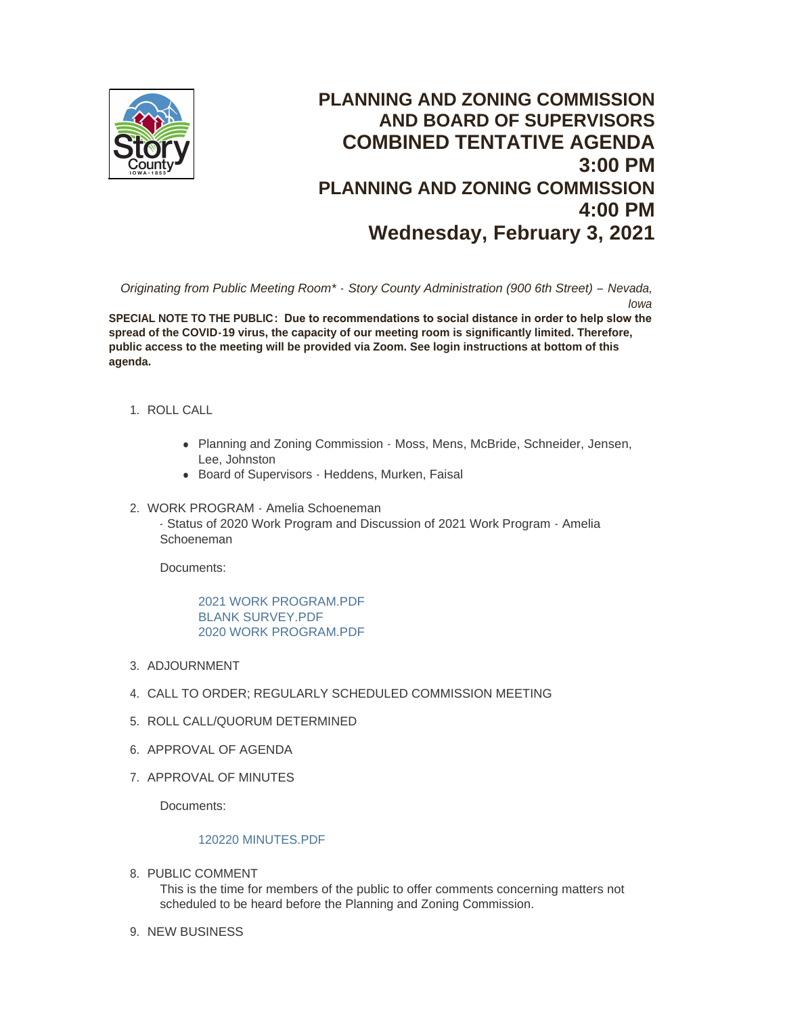

# **PLANNING AND ZONING COMMISSION AND BOARD OF SUPERVISORS COMBINED TENTATIVE AGENDA 3:00 PM PLANNING AND ZONING COMMISSION 4:00 PM Wednesday, February 3, 2021**

*Originating from Public Meeting Room\* - Story County Administration (900 6th Street) – Nevada, Iowa*

**SPECIAL NOTE TO THE PUBLIC: Due to recommendations to social distance in order to help slow the spread of the COVID-19 virus, the capacity of our meeting room is significantly limited. Therefore, public access to the meeting will be provided via Zoom. See login instructions at bottom of this agenda.**

- 1. ROLL CALL
	- Planning and Zoning Commission Moss, Mens, McBride, Schneider, Jensen, Lee, Johnston
	- Board of Supervisors Heddens, Murken, Faisal
- 2. WORK PROGRAM Amelia Schoeneman - Status of 2020 Work Program and Discussion of 2021 Work Program - Amelia Schoeneman

Documents:

[2021 WORK PROGRAM.PDF](http://www.storycountyiowa.gov/AgendaCenter/ViewFile/Item/20219?fileID=15305) [BLANK SURVEY.PDF](http://www.storycountyiowa.gov/AgendaCenter/ViewFile/Item/20219?fileID=15304) [2020 WORK PROGRAM.PDF](http://www.storycountyiowa.gov/AgendaCenter/ViewFile/Item/20219?fileID=15309)

- 3. ADJOURNMENT
- CALL TO ORDER; REGULARLY SCHEDULED COMMISSION MEETING 4.
- 5. ROLL CALL/QUORUM DETERMINED
- 6. APPROVAL OF AGENDA
- 7. APPROVAL OF MINUTES

Documents:

# [120220 MINUTES.PDF](http://www.storycountyiowa.gov/AgendaCenter/ViewFile/Item/20212?fileID=15303)

8. PUBLIC COMMENT

This is the time for members of the public to offer comments concerning matters not scheduled to be heard before the Planning and Zoning Commission.

9. NEW BUSINESS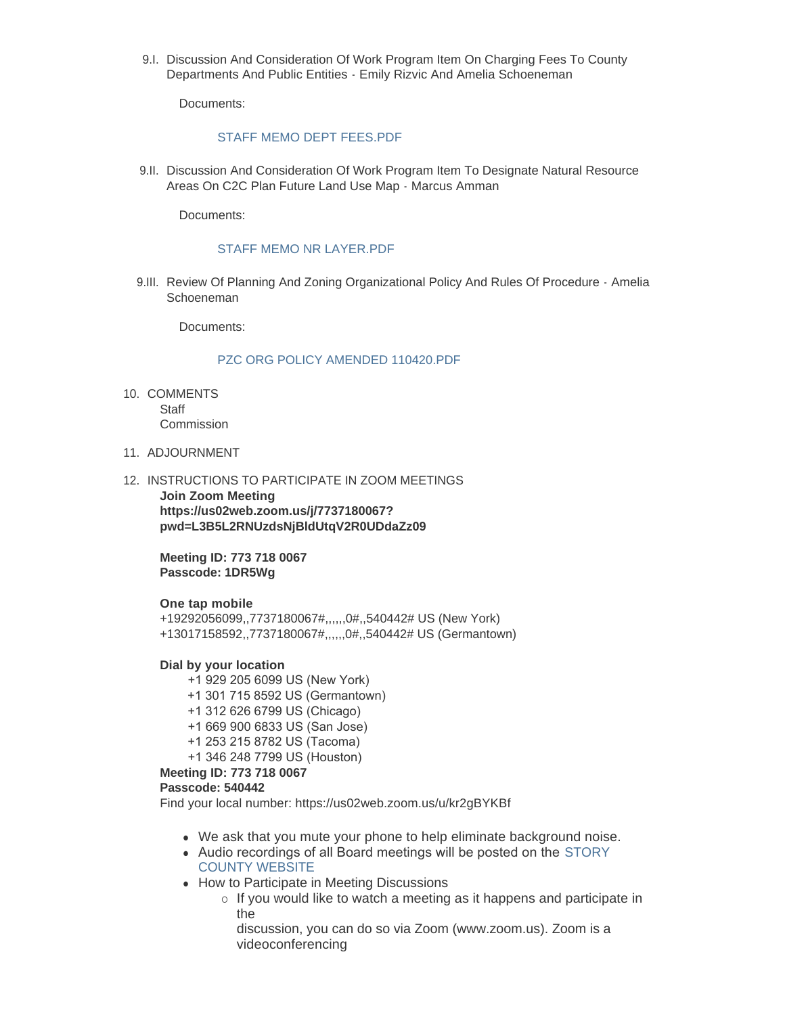9.I. Discussion And Consideration Of Work Program Item On Charging Fees To County Departments And Public Entities - Emily Rizvic And Amelia Schoeneman

Documents:

### STAFF MEMO DEPT FFFS PDF

9.II. Discussion And Consideration Of Work Program Item To Designate Natural Resource Areas On C2C Plan Future Land Use Map - Marcus Amman

Documents:

# STAFF MEMO NR LAYER PDF

9.III. Review Of Planning And Zoning Organizational Policy And Rules Of Procedure - Amelia Schoeneman

Documents:

### [PZC ORG POLICY AMENDED 110420.PDF](http://www.storycountyiowa.gov/AgendaCenter/ViewFile/Item/20217?fileID=15300)

- 10. COMMENTS **Staff** Commission
- 11. ADJOURNMENT
- 12. INSTRUCTIONS TO PARTICIPATE IN ZOOM MEETINGS **Join Zoom Meeting https://us02web.zoom.us/j/7737180067?**

**pwd=L3B5L2RNUzdsNjBldUtqV2R0UDdaZz09**

**Meeting ID: 773 718 0067 Passcode: 1DR5Wg**

#### **One tap mobile**

+19292056099,,7737180067#,,,,,,0#,,540442# US (New York) +13017158592,,7737180067#,,,,,,0#,,540442# US (Germantown)

### **Dial by your location**

- +1 929 205 6099 US (New York)
- +1 301 715 8592 US (Germantown)
- +1 312 626 6799 US (Chicago)
- +1 669 900 6833 US (San Jose)
- +1 253 215 8782 US (Tacoma)
- +1 346 248 7799 US (Houston)

#### **Meeting ID: 773 718 0067**

#### **Passcode: 540442**

Find your local number: https://us02web.zoom.us/u/kr2gBYKBf

- We ask that you mute your phone to help eliminate background noise.
- Audio recordings of all Board meetings will be posted on the STORY COUNTY WEBSITE
- How to Participate in Meeting Discussions
	- $\circ$  If you would like to watch a meeting as it happens and participate in the
		- discussion, you can do so via Zoom (www.zoom.us). Zoom is a videoconferencing